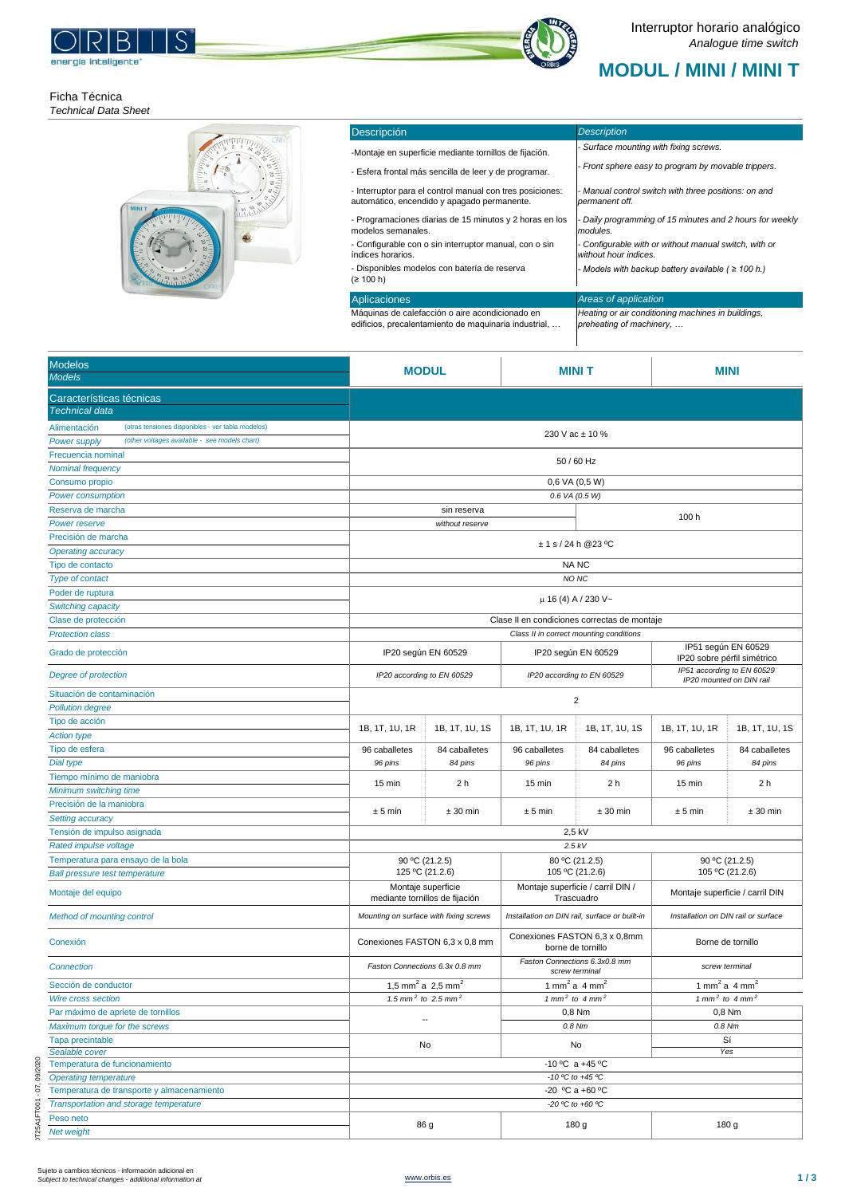## **MODUL / MINI / MINI T**



DT25A1FT001 - 07, 09/2020

IT25A1FT001 - 07, 09/2020

| Descripción                                                                                              | <b>Description</b>                                                             |
|----------------------------------------------------------------------------------------------------------|--------------------------------------------------------------------------------|
| -Montaje en superficie mediante tornillos de fijación.                                                   | - Surface mounting with fixing screws.                                         |
| - Esfera frontal más sencilla de leer y de programar.                                                    | - Front sphere easy to program by movable trippers.                            |
| - Interruptor para el control manual con tres posiciones:<br>automático, encendido y apagado permanente. | - Manual control switch with three positions: on and<br>permanent off.         |
| - Programaciones diarias de 15 minutos y 2 horas en los<br>modelos semanales.                            | - Daily programming of 15 minutes and 2 hours for weekly<br>modules.           |
| - Configurable con o sin interruptor manual, con o sin<br>índices horarios.                              | - Configurable with or without manual switch, with or<br>without hour indices. |
| - Disponibles modelos con batería de reserva<br>(≥ 100 h)                                                | - Models with backup battery available ( $\geq 100$ h.)                        |
| Aplicaciones                                                                                             | Areas of application                                                           |
| Máquinas de calefacción o aire acondicionado en<br>edificios, precalentamiento de maguinaria industrial, | Heating or air conditioning machines in buildings,<br>preheating of machinery, |







| <b>Modelos</b><br><b>Models</b>                                      | <b>MODUL</b>                                             |                 |                                                        | <b>MINIT</b>        |                                        | <b>MINI</b>                                        |  |
|----------------------------------------------------------------------|----------------------------------------------------------|-----------------|--------------------------------------------------------|---------------------|----------------------------------------|----------------------------------------------------|--|
| Características técnicas<br>Technical data                           |                                                          |                 |                                                        |                     |                                        |                                                    |  |
| (otras tensiones disponibles - ver tabla modelos)<br>Alimentación    |                                                          |                 |                                                        |                     |                                        |                                                    |  |
| (other voltages available - see models chart)<br><b>Power supply</b> |                                                          |                 | 230 V ac ± 10 %                                        |                     |                                        |                                                    |  |
| Frecuencia nominal                                                   |                                                          |                 | 50 / 60 Hz                                             |                     |                                        |                                                    |  |
| Nominal frequency                                                    |                                                          |                 |                                                        |                     |                                        |                                                    |  |
| Consumo propio                                                       |                                                          |                 | 0,6 VA (0,5 W)                                         |                     |                                        |                                                    |  |
| <b>Power consumption</b>                                             | 0.6 VA (0.5 W)                                           |                 |                                                        |                     |                                        |                                                    |  |
| Reserva de marcha                                                    | sin reserva                                              |                 |                                                        | 100 h               |                                        |                                                    |  |
| Power reserve                                                        |                                                          | without reserve |                                                        |                     |                                        |                                                    |  |
| Precisión de marcha                                                  |                                                          |                 | ± 1 s / 24 h @ 23 °C                                   |                     |                                        |                                                    |  |
| Operating accuracy                                                   |                                                          |                 |                                                        |                     |                                        |                                                    |  |
| Tipo de contacto                                                     |                                                          |                 | <b>NANC</b>                                            |                     |                                        |                                                    |  |
| Type of contact                                                      |                                                          |                 | NO NC                                                  |                     |                                        |                                                    |  |
| Poder de ruptura                                                     |                                                          |                 | μ 16 (4) A / 230 V~                                    |                     |                                        |                                                    |  |
| Switching capacity                                                   |                                                          |                 |                                                        |                     |                                        |                                                    |  |
| Clase de protección                                                  |                                                          |                 | Clase II en condiciones correctas de montaje           |                     |                                        |                                                    |  |
| <b>Protection class</b>                                              |                                                          |                 | Class II in correct mounting conditions                |                     |                                        |                                                    |  |
| Grado de protección                                                  | IP20 según EN 60529                                      |                 |                                                        | IP20 según EN 60529 |                                        | IP51 según EN 60529<br>IP20 sobre pérfil simétrico |  |
| Degree of protection                                                 | IP20 according to EN 60529<br>IP20 according to EN 60529 |                 | IP51 according to EN 60529<br>IP20 mounted on DIN rail |                     |                                        |                                                    |  |
| Situación de contaminación                                           |                                                          |                 | $\overline{c}$                                         |                     |                                        |                                                    |  |
| <b>Pollution degree</b>                                              |                                                          |                 |                                                        |                     |                                        |                                                    |  |
| Tipo de acción                                                       | 1B, 1T, 1U, 1R                                           | 1B, 1T, 1U, 1S  | 1B, 1T, 1U, 1R                                         | 1B, 1T, 1U, 1S      | 1B, 1T, 1U, 1R                         | 1B, 1T, 1U, 1S                                     |  |
| <b>Action type</b>                                                   |                                                          |                 |                                                        |                     |                                        |                                                    |  |
| Tipo de esfera                                                       | 96 caballetes                                            | 84 caballetes   | 96 caballetes                                          | 84 caballetes       | 96 caballetes                          | 84 caballetes                                      |  |
| Dial type                                                            | 96 pins                                                  | 84 pins         | 96 pins                                                | 84 pins             | 96 pins                                | 84 pins                                            |  |
| Tiempo mínimo de maniobra                                            | 15 min                                                   | 2 <sub>h</sub>  | 15 min                                                 | 2 <sub>h</sub>      | 15 min                                 | 2 <sub>h</sub>                                     |  |
| Minimum switching time<br>Precisión de la maniobra                   |                                                          |                 |                                                        |                     |                                        |                                                    |  |
| Setting accuracy                                                     | ± 5 min                                                  | $± 30$ min      | ± 5 min                                                | $± 30$ min          | ± 5 min                                | $± 30$ min                                         |  |
| Tensión de impulso asignada                                          |                                                          |                 | 2,5 kV                                                 |                     |                                        |                                                    |  |
| Rated impulse voltage                                                |                                                          |                 | 2.5 kV                                                 |                     |                                        |                                                    |  |
| Temperatura para ensayo de la bola                                   |                                                          |                 | 80 °C (21.2.5)                                         |                     | 90 °C (21.2.5)                         |                                                    |  |
| <b>Ball pressure test temperature</b>                                | 90 °C (21.2.5)<br>125 °C (21.2.6)                        |                 | 105 °C (21.2.6)                                        |                     | 105 °C (21.2.6)                        |                                                    |  |
|                                                                      | Montaje superficie                                       |                 | Montaje superficie / carril DIN /                      |                     |                                        |                                                    |  |
| Montaje del equipo                                                   | mediante tornillos de fijación                           |                 | Trascuadro                                             |                     | Montaje superficie / carril DIN        |                                                    |  |
| Method of mounting control                                           | Mounting on surface with fixing screws                   |                 | Installation on DIN rail, surface or built-in          |                     | Installation on DIN rail or surface    |                                                    |  |
| Conexión                                                             | Conexiones FASTON 6,3 x 0,8 mm                           |                 | Conexiones FASTON 6,3 x 0,8mm<br>borne de tornillo     |                     | Borne de tornillo                      |                                                    |  |
| Connection                                                           | Faston Connections 6.3x 0.8 mm                           |                 | Faston Connections 6.3x0.8 mm<br>screw terminal        |                     | screw terminal                         |                                                    |  |
| Sección de conductor                                                 | 1,5 mm <sup>2</sup> a 2,5 mm <sup>2</sup>                |                 | 1 mm <sup>2</sup> a 4 mm <sup>2</sup>                  |                     | 1 mm <sup>2</sup> a 4 mm <sup>2</sup>  |                                                    |  |
| <b>Wire cross section</b>                                            | 1.5 mm <sup>2</sup> to 2.5 mm <sup>2</sup>               |                 | 1 mm <sup>2</sup> to 4 mm <sup>2</sup>                 |                     | 1 mm <sup>2</sup> to 4 mm <sup>2</sup> |                                                    |  |
| Par máximo de apriete de tornillos                                   | --                                                       |                 | 0,8 Nm                                                 |                     | 0,8 Nm                                 |                                                    |  |
| Maximum torque for the screws                                        |                                                          |                 | 0.8 Nm                                                 |                     | 0.8 Nm                                 |                                                    |  |
| Tapa precintable                                                     | No                                                       |                 | No                                                     |                     | Sí                                     |                                                    |  |
| Sealable cover                                                       |                                                          |                 | -10 °C a +45 °C                                        |                     | Yes                                    |                                                    |  |
| Temperatura de funcionamiento<br><b>Operating temperature</b>        | -10 °C to +45 °C                                         |                 |                                                        |                     |                                        |                                                    |  |
| Temperatura de transporte y almacenamiento                           | -20 °C a +60 °C                                          |                 |                                                        |                     |                                        |                                                    |  |
| Transportation and storage temperature                               | -20 °C to +60 °C                                         |                 |                                                        |                     |                                        |                                                    |  |
| Peso neto                                                            |                                                          |                 |                                                        |                     |                                        |                                                    |  |
| Net weight                                                           | 86 g                                                     |                 | 180 g                                                  |                     | 180 g                                  |                                                    |  |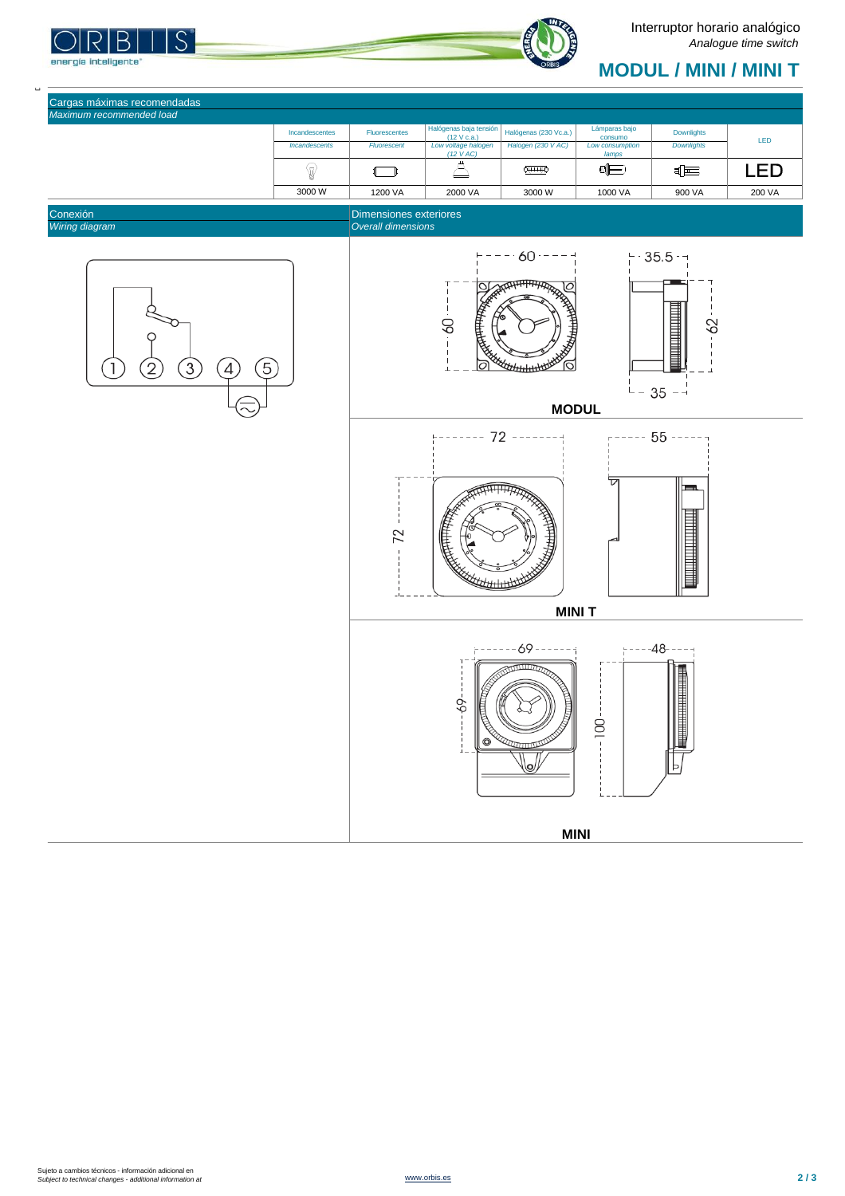S energía inteligente\*

## **MODUL / MINI / MINI T**

| Incandescentes              | <b>Fluorescentes</b> | Halógenas baja tensión             | Halógenas (230 Vc.a.) | Lámparas bajo              | <b>Downlights</b> |            |
|-----------------------------|----------------------|------------------------------------|-----------------------|----------------------------|-------------------|------------|
| <i><b>Incandescents</b></i> | <b>Fluorescent</b>   | (12 V c.a.)<br>Low voltage halogen | Halogen (230 V AC)    | consumo<br>Low consumption | <b>Downlights</b> | <b>LED</b> |
|                             |                      | $(12 \text{ VAC})$                 |                       | lamps                      |                   |            |
| $\overline{ }$              |                      |                                    | <u>र्क्सम्मे</u> 0    | $\blacksquare$             | 티트                | EI         |
| 3000 W                      | 1200 VA              | 2000 VA                            | 3000 W                | 1000 VA                    | 900 VA            | 200 VA     |









## Cargas máximas recomendadas *Maximum recommended load*

 $\overline{a}$ 

 $\Box$ 

**MODUL**